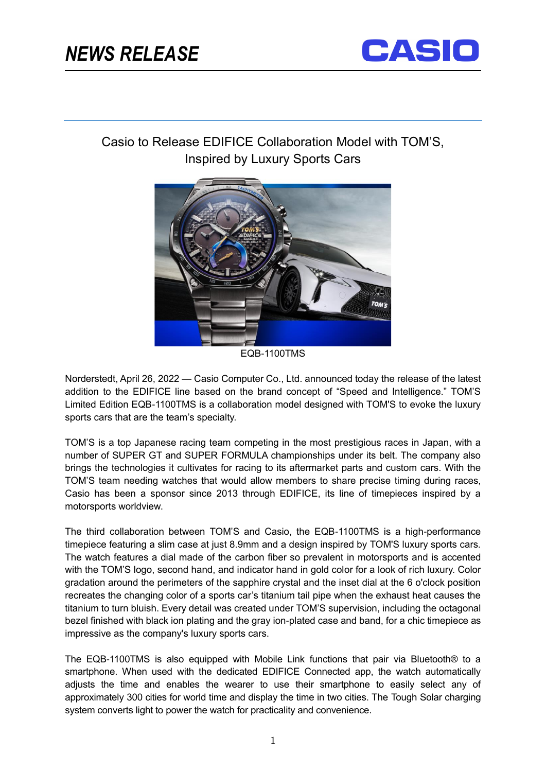

ֺ֝֬



## Casio to Release EDIFICE Collaboration Model with TOM'S, Inspired by Luxury Sports Cars



EQB-1100TMS

Norderstedt, April 26, 2022 — Casio Computer Co., Ltd. announced today the release of the latest addition to the EDIFICE line based on the brand concept of "Speed and Intelligence." TOM'S Limited Edition EQB-1100TMS is a collaboration model designed with TOM'S to evoke the luxury sports cars that are the team's specialty.

TOM'S is a top Japanese racing team competing in the most prestigious races in Japan, with a number of SUPER GT and SUPER FORMULA championships under its belt. The company also brings the technologies it cultivates for racing to its aftermarket parts and custom cars. With the TOM'S team needing watches that would allow members to share precise timing during races, Casio has been a sponsor since 2013 through EDIFICE, its line of timepieces inspired by a motorsports worldview.

The third collaboration between TOM'S and Casio, the EQB-1100TMS is a high-performance timepiece featuring a slim case at just 8.9mm and a design inspired by TOM'S luxury sports cars. The watch features a dial made of the carbon fiber so prevalent in motorsports and is accented with the TOM'S logo, second hand, and indicator hand in gold color for a look of rich luxury. Color gradation around the perimeters of the sapphire crystal and the inset dial at the 6 o'clock position recreates the changing color of a sports car's titanium tail pipe when the exhaust heat causes the titanium to turn bluish. Every detail was created under TOM'S supervision, including the octagonal bezel finished with black ion plating and the gray ion-plated case and band, for a chic timepiece as impressive as the company's luxury sports cars.

The EQB-1100TMS is also equipped with Mobile Link functions that pair via Bluetooth® to a smartphone. When used with the dedicated EDIFICE Connected app, the watch automatically adjusts the time and enables the wearer to use their smartphone to easily select any of approximately 300 cities for world time and display the time in two cities. The Tough Solar charging system converts light to power the watch for practicality and convenience.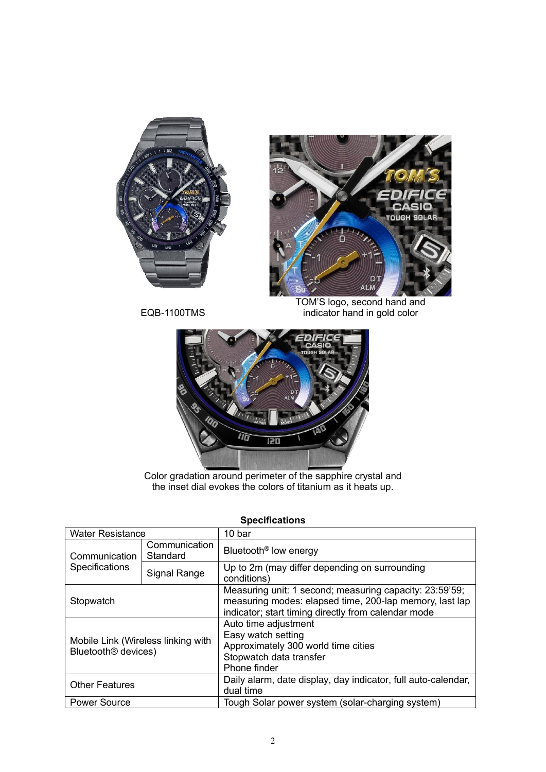



EQB-1100TMS

TOM'S logo, second hand and indicator hand in gold color



Color gradation around perimeter of the sapphire crystal and the inset dial evokes the colors of titanium as it heats up.

| <b>Water Resistance</b>                                               |                           | 10 bar                                                                                                                                                                    |
|-----------------------------------------------------------------------|---------------------------|---------------------------------------------------------------------------------------------------------------------------------------------------------------------------|
| Communication<br>Specifications                                       | Communication<br>Standard | Bluetooth <sup>®</sup> low energy                                                                                                                                         |
|                                                                       | <b>Signal Range</b>       | Up to 2m (may differ depending on surrounding<br>conditions)                                                                                                              |
| Stopwatch                                                             |                           | Measuring unit: 1 second; measuring capacity: 23:59'59;<br>measuring modes: elapsed time, 200-lap memory, last lap<br>indicator; start timing directly from calendar mode |
| Mobile Link (Wireless linking with<br>Bluetooth <sup>®</sup> devices) |                           | Auto time adjustment<br>Easy watch setting<br>Approximately 300 world time cities<br>Stopwatch data transfer<br>Phone finder                                              |
| <b>Other Features</b>                                                 |                           | Daily alarm, date display, day indicator, full auto-calendar,<br>dual time                                                                                                |
| <b>Power Source</b>                                                   |                           | Tough Solar power system (solar-charging system)                                                                                                                          |

## **Specifications**